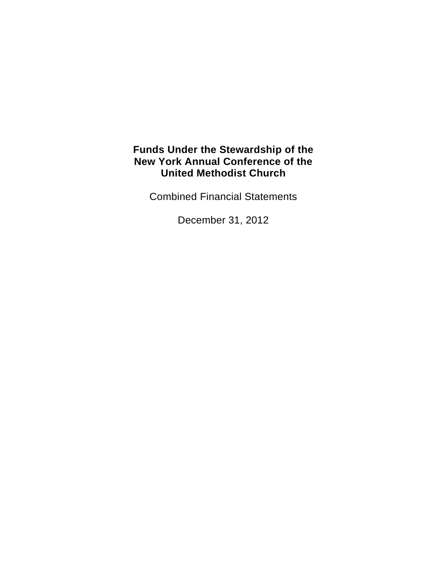Combined Financial Statements

December 31, 2012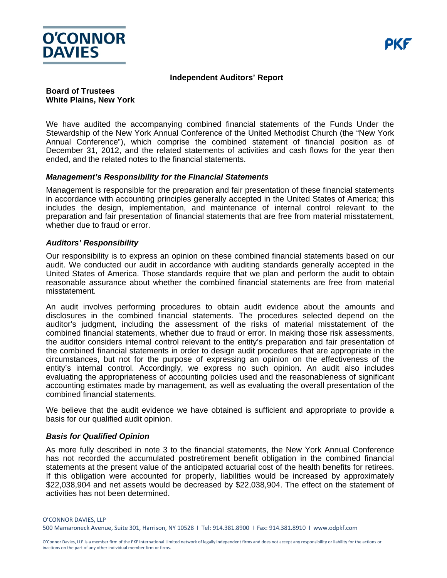

#### **Independent Auditors' Report**

#### **Board of Trustees White Plains, New York**

We have audited the accompanying combined financial statements of the Funds Under the Stewardship of the New York Annual Conference of the United Methodist Church (the "New York Annual Conference"), which comprise the combined statement of financial position as of December 31, 2012, and the related statements of activities and cash flows for the year then ended, and the related notes to the financial statements.

#### *Management's Responsibility for the Financial Statements*

Management is responsible for the preparation and fair presentation of these financial statements in accordance with accounting principles generally accepted in the United States of America; this includes the design, implementation, and maintenance of internal control relevant to the preparation and fair presentation of financial statements that are free from material misstatement, whether due to fraud or error.

#### *Auditors' Responsibility*

Our responsibility is to express an opinion on these combined financial statements based on our audit. We conducted our audit in accordance with auditing standards generally accepted in the United States of America. Those standards require that we plan and perform the audit to obtain reasonable assurance about whether the combined financial statements are free from material misstatement.

An audit involves performing procedures to obtain audit evidence about the amounts and disclosures in the combined financial statements. The procedures selected depend on the auditor's judgment, including the assessment of the risks of material misstatement of the combined financial statements, whether due to fraud or error. In making those risk assessments, the auditor considers internal control relevant to the entity's preparation and fair presentation of the combined financial statements in order to design audit procedures that are appropriate in the circumstances, but not for the purpose of expressing an opinion on the effectiveness of the entity's internal control. Accordingly, we express no such opinion. An audit also includes evaluating the appropriateness of accounting policies used and the reasonableness of significant accounting estimates made by management, as well as evaluating the overall presentation of the combined financial statements.

We believe that the audit evidence we have obtained is sufficient and appropriate to provide a basis for our qualified audit opinion.

#### *Basis for Qualified Opinion*

As more fully described in note 3 to the financial statements, the New York Annual Conference has not recorded the accumulated postretirement benefit obligation in the combined financial statements at the present value of the anticipated actuarial cost of the health benefits for retirees. If this obligation were accounted for properly, liabilities would be increased by approximately \$22,038,904 and net assets would be decreased by \$22,038,904. The effect on the statement of activities has not been determined.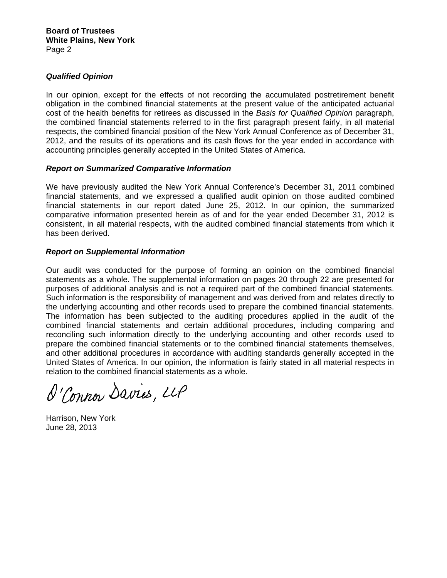#### *Qualified Opinion*

In our opinion, except for the effects of not recording the accumulated postretirement benefit obligation in the combined financial statements at the present value of the anticipated actuarial cost of the health benefits for retirees as discussed in the *Basis for Qualified Opinion* paragraph, the combined financial statements referred to in the first paragraph present fairly, in all material respects, the combined financial position of the New York Annual Conference as of December 31, 2012, and the results of its operations and its cash flows for the year ended in accordance with accounting principles generally accepted in the United States of America.

#### *Report on Summarized Comparative Information*

We have previously audited the New York Annual Conference's December 31, 2011 combined financial statements, and we expressed a qualified audit opinion on those audited combined financial statements in our report dated June 25, 2012. In our opinion, the summarized comparative information presented herein as of and for the year ended December 31, 2012 is consistent, in all material respects, with the audited combined financial statements from which it has been derived.

#### *Report on Supplemental Information*

Our audit was conducted for the purpose of forming an opinion on the combined financial statements as a whole. The supplemental information on pages 20 through 22 are presented for purposes of additional analysis and is not a required part of the combined financial statements. Such information is the responsibility of management and was derived from and relates directly to the underlying accounting and other records used to prepare the combined financial statements. The information has been subjected to the auditing procedures applied in the audit of the combined financial statements and certain additional procedures, including comparing and reconciling such information directly to the underlying accounting and other records used to prepare the combined financial statements or to the combined financial statements themselves, and other additional procedures in accordance with auditing standards generally accepted in the United States of America. In our opinion, the information is fairly stated in all material respects in relation to the combined financial statements as a whole.

O'Connor Davies, LLP

Harrison, New York June 28, 2013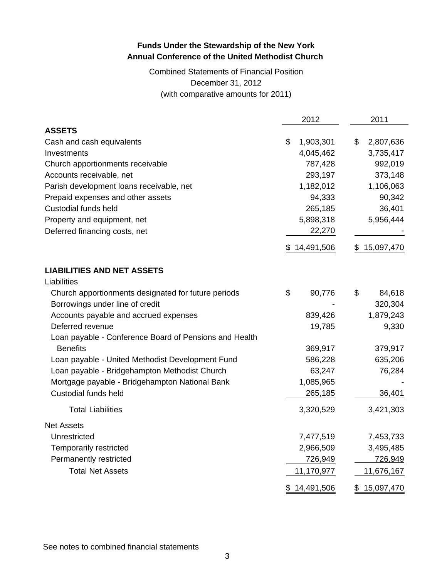# Combined Statements of Financial Position December 31, 2012 (with comparative amounts for 2011)

|                                                        |     | 2012         | 2011            |
|--------------------------------------------------------|-----|--------------|-----------------|
| <b>ASSETS</b>                                          |     |              |                 |
| Cash and cash equivalents                              | \$  | 1,903,301    | \$<br>2,807,636 |
| Investments                                            |     | 4,045,462    | 3,735,417       |
| Church apportionments receivable                       |     | 787,428      | 992,019         |
| Accounts receivable, net                               |     | 293,197      | 373,148         |
| Parish development loans receivable, net               |     | 1,182,012    | 1,106,063       |
| Prepaid expenses and other assets                      |     | 94,333       | 90,342          |
| Custodial funds held                                   |     | 265,185      | 36,401          |
| Property and equipment, net                            |     | 5,898,318    | 5,956,444       |
| Deferred financing costs, net                          |     | 22,270       |                 |
|                                                        | \$. | 14,491,506   | \$15,097,470    |
| <b>LIABILITIES AND NET ASSETS</b>                      |     |              |                 |
| Liabilities                                            |     |              |                 |
| Church apportionments designated for future periods    | \$  | 90,776       | \$<br>84,618    |
| Borrowings under line of credit                        |     |              | 320,304         |
| Accounts payable and accrued expenses                  |     | 839,426      | 1,879,243       |
| Deferred revenue                                       |     | 19,785       | 9,330           |
| Loan payable - Conference Board of Pensions and Health |     |              |                 |
| <b>Benefits</b>                                        |     | 369,917      | 379,917         |
| Loan payable - United Methodist Development Fund       |     | 586,228      | 635,206         |
| Loan payable - Bridgehampton Methodist Church          |     | 63,247       | 76,284          |
| Mortgage payable - Bridgehampton National Bank         |     | 1,085,965    |                 |
| Custodial funds held                                   |     | 265,185      | 36,401          |
| <b>Total Liabilities</b>                               |     | 3,320,529    | 3,421,303       |
| <b>Net Assets</b>                                      |     |              |                 |
| Unrestricted                                           |     | 7,477,519    | 7,453,733       |
| Temporarily restricted                                 |     | 2,966,509    | 3,495,485       |
| Permanently restricted                                 |     | 726,949      | 726,949         |
| <b>Total Net Assets</b>                                |     | 11,170,977   | 11,676,167      |
|                                                        |     | \$14,491,506 | \$15,097,470    |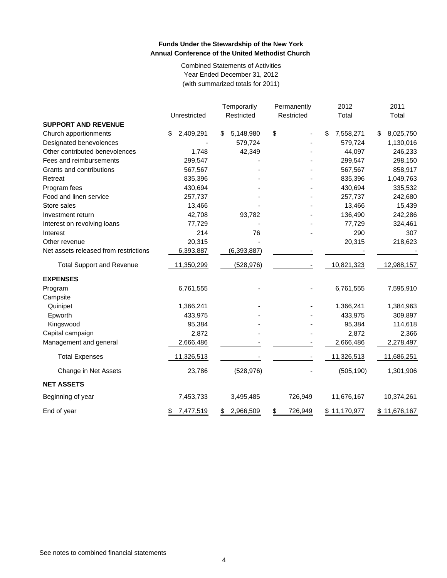Combined Statements of Activities Year Ended December 31, 2012 (with summarized totals for 2011)

|                                       |                 | Temporarily     | Permanently   | 2012            | 2011            |
|---------------------------------------|-----------------|-----------------|---------------|-----------------|-----------------|
|                                       | Unrestricted    | Restricted      | Restricted    | Total           | Total           |
| <b>SUPPORT AND REVENUE</b>            |                 |                 |               |                 |                 |
| Church apportionments                 | \$<br>2,409,291 | \$<br>5,148,980 | \$            | \$<br>7,558,271 | \$<br>8,025,750 |
| Designated benevolences               |                 | 579,724         |               | 579,724         | 1,130,016       |
| Other contributed benevolences        | 1,748           | 42,349          |               | 44,097          | 246,233         |
| Fees and reimbursements               | 299,547         |                 |               | 299,547         | 298,150         |
| Grants and contributions              | 567,567         |                 |               | 567,567         | 858,917         |
| Retreat                               | 835,396         |                 |               | 835,396         | 1,049,763       |
| Program fees                          | 430,694         |                 |               | 430,694         | 335,532         |
| Food and linen service                | 257,737         |                 |               | 257,737         | 242,680         |
| Store sales                           | 13,466          |                 |               | 13,466          | 15,439          |
| Investment return                     | 42,708          | 93,782          |               | 136,490         | 242,286         |
| Interest on revolving loans           | 77,729          |                 |               | 77,729          | 324,461         |
| Interest                              | 214             | 76              |               | 290             | 307             |
| Other revenue                         | 20,315          |                 |               | 20,315          | 218,623         |
| Net assets released from restrictions | 6,393,887       | (6, 393, 887)   |               |                 |                 |
| <b>Total Support and Revenue</b>      | 11,350,299      | (528, 976)      |               | 10,821,323      | 12,988,157      |
| <b>EXPENSES</b>                       |                 |                 |               |                 |                 |
| Program                               | 6,761,555       |                 |               | 6,761,555       | 7,595,910       |
| Campsite                              |                 |                 |               |                 |                 |
| Quinipet                              | 1,366,241       |                 |               | 1,366,241       | 1,384,963       |
| Epworth                               | 433,975         |                 |               | 433,975         | 309,897         |
| Kingswood                             | 95,384          |                 |               | 95,384          | 114,618         |
| Capital campaign                      | 2,872           |                 |               | 2,872           | 2,366           |
| Management and general                | 2,666,486       |                 |               | 2,666,486       | 2,278,497       |
| <b>Total Expenses</b>                 | 11,326,513      |                 |               | 11,326,513      | 11,686,251      |
| Change in Net Assets                  | 23,786          | (528, 976)      |               | (505, 190)      | 1,301,906       |
| <b>NET ASSETS</b>                     |                 |                 |               |                 |                 |
| Beginning of year                     | 7,453,733       | 3,495,485       | 726,949       | 11,676,167      | 10,374,261      |
| End of year                           | 7,477,519<br>\$ | 2,966,509<br>S. | \$<br>726,949 | \$11,170,977    | \$11,676,167    |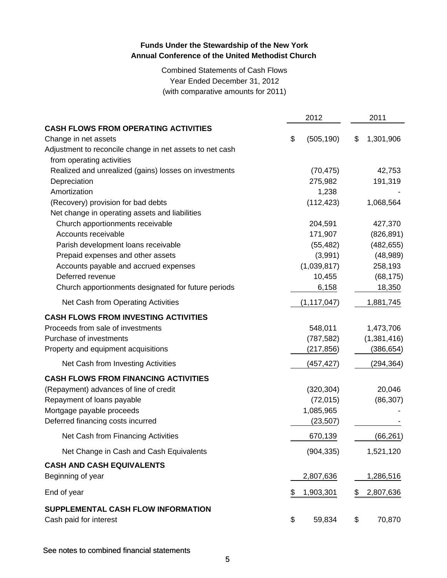Combined Statements of Cash Flows Year Ended December 31, 2012 (with comparative amounts for 2011)

|                                                          | 2012             | 2011            |
|----------------------------------------------------------|------------------|-----------------|
| <b>CASH FLOWS FROM OPERATING ACTIVITIES</b>              |                  |                 |
| Change in net assets                                     | \$<br>(505, 190) | \$<br>1,301,906 |
| Adjustment to reconcile change in net assets to net cash |                  |                 |
| from operating activities                                |                  |                 |
| Realized and unrealized (gains) losses on investments    | (70, 475)        | 42,753          |
| Depreciation                                             | 275,982          | 191,319         |
| Amortization                                             | 1,238            |                 |
| (Recovery) provision for bad debts                       | (112, 423)       | 1,068,564       |
| Net change in operating assets and liabilities           |                  |                 |
| Church apportionments receivable                         | 204,591          | 427,370         |
| Accounts receivable                                      | 171,907          | (826, 891)      |
| Parish development loans receivable                      | (55, 482)        | (482, 655)      |
| Prepaid expenses and other assets                        | (3,991)          | (48,989)        |
| Accounts payable and accrued expenses                    | (1,039,817)      | 258,193         |
| Deferred revenue                                         | 10,455           | (68, 175)       |
| Church apportionments designated for future periods      | 6,158            | 18,350          |
| Net Cash from Operating Activities                       | (1, 117, 047)    | 1,881,745       |
| <b>CASH FLOWS FROM INVESTING ACTIVITIES</b>              |                  |                 |
| Proceeds from sale of investments                        | 548,011          | 1,473,706       |
| Purchase of investments                                  | (787, 582)       | (1,381,416)     |
| Property and equipment acquisitions                      | (217, 856)       | (386, 654)      |
| Net Cash from Investing Activities                       | (457,427)        | (294, 364)      |
| <b>CASH FLOWS FROM FINANCING ACTIVITIES</b>              |                  |                 |
| (Repayment) advances of line of credit                   | (320, 304)       | 20,046          |
| Repayment of loans payable                               | (72, 015)        | (86, 307)       |
| Mortgage payable proceeds                                | 1,085,965        |                 |
| Deferred financing costs incurred                        | (23, 507)        |                 |
| Net Cash from Financing Activities                       | 670,139          | (66, 261)       |
| Net Change in Cash and Cash Equivalents                  | (904, 335)       | 1,521,120       |
| <b>CASH AND CASH EQUIVALENTS</b>                         |                  |                 |
| Beginning of year                                        | 2,807,636        | 1,286,516       |
| End of year                                              | 1,903,301        | \$<br>2,807,636 |
| SUPPLEMENTAL CASH FLOW INFORMATION                       |                  |                 |
| Cash paid for interest                                   | \$<br>59,834     | \$<br>70,870    |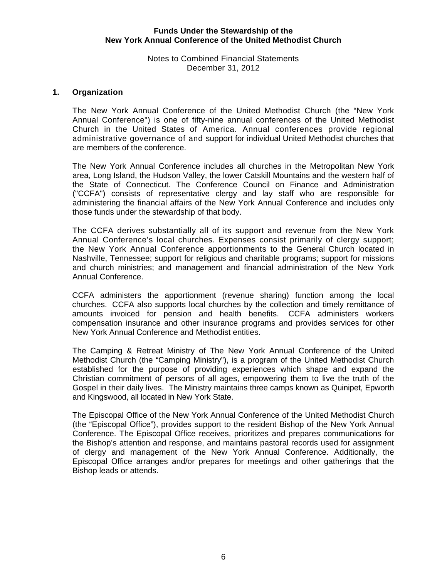#### Notes to Combined Financial Statements December 31, 2012

#### **1. Organization**

The New York Annual Conference of the United Methodist Church (the "New York Annual Conference") is one of fifty-nine annual conferences of the United Methodist Church in the United States of America. Annual conferences provide regional administrative governance of and support for individual United Methodist churches that are members of the conference.

The New York Annual Conference includes all churches in the Metropolitan New York area, Long Island, the Hudson Valley, the lower Catskill Mountains and the western half of the State of Connecticut. The Conference Council on Finance and Administration ("CCFA") consists of representative clergy and lay staff who are responsible for administering the financial affairs of the New York Annual Conference and includes only those funds under the stewardship of that body.

The CCFA derives substantially all of its support and revenue from the New York Annual Conference's local churches. Expenses consist primarily of clergy support; the New York Annual Conference apportionments to the General Church located in Nashville, Tennessee; support for religious and charitable programs; support for missions and church ministries; and management and financial administration of the New York Annual Conference.

CCFA administers the apportionment (revenue sharing) function among the local churches. CCFA also supports local churches by the collection and timely remittance of amounts invoiced for pension and health benefits. CCFA administers workers compensation insurance and other insurance programs and provides services for other New York Annual Conference and Methodist entities.

The Camping & Retreat Ministry of The New York Annual Conference of the United Methodist Church (the "Camping Ministry"), is a program of the United Methodist Church established for the purpose of providing experiences which shape and expand the Christian commitment of persons of all ages, empowering them to live the truth of the Gospel in their daily lives. The Ministry maintains three camps known as Quinipet, Epworth and Kingswood, all located in New York State.

The Episcopal Office of the New York Annual Conference of the United Methodist Church (the "Episcopal Office"), provides support to the resident Bishop of the New York Annual Conference. The Episcopal Office receives, prioritizes and prepares communications for the Bishop's attention and response, and maintains pastoral records used for assignment of clergy and management of the New York Annual Conference. Additionally, the Episcopal Office arranges and/or prepares for meetings and other gatherings that the Bishop leads or attends.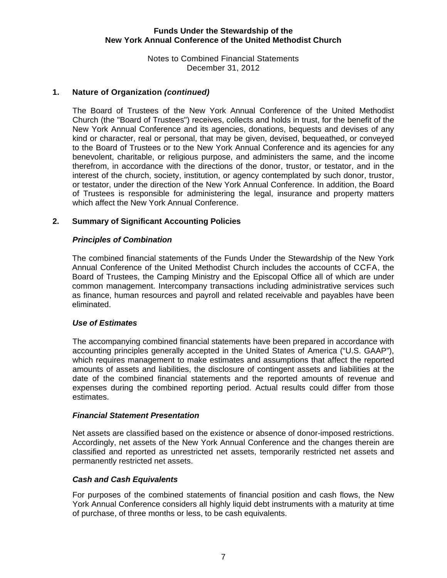Notes to Combined Financial Statements December 31, 2012

### **1. Nature of Organization** *(continued)*

The Board of Trustees of the New York Annual Conference of the United Methodist Church (the "Board of Trustees") receives, collects and holds in trust, for the benefit of the New York Annual Conference and its agencies, donations, bequests and devises of any kind or character, real or personal, that may be given, devised, bequeathed, or conveyed to the Board of Trustees or to the New York Annual Conference and its agencies for any benevolent, charitable, or religious purpose, and administers the same, and the income therefrom, in accordance with the directions of the donor, trustor, or testator, and in the interest of the church, society, institution, or agency contemplated by such donor, trustor, or testator, under the direction of the New York Annual Conference. In addition, the Board of Trustees is responsible for administering the legal, insurance and property matters which affect the New York Annual Conference.

#### **2. Summary of Significant Accounting Policies**

#### *Principles of Combination*

The combined financial statements of the Funds Under the Stewardship of the New York Annual Conference of the United Methodist Church includes the accounts of CCFA, the Board of Trustees, the Camping Ministry and the Episcopal Office all of which are under common management. Intercompany transactions including administrative services such as finance, human resources and payroll and related receivable and payables have been eliminated.

#### *Use of Estimates*

The accompanying combined financial statements have been prepared in accordance with accounting principles generally accepted in the United States of America ("U.S. GAAP"), which requires management to make estimates and assumptions that affect the reported amounts of assets and liabilities, the disclosure of contingent assets and liabilities at the date of the combined financial statements and the reported amounts of revenue and expenses during the combined reporting period. Actual results could differ from those estimates.

#### *Financial Statement Presentation*

 Net assets are classified based on the existence or absence of donor-imposed restrictions. Accordingly, net assets of the New York Annual Conference and the changes therein are classified and reported as unrestricted net assets, temporarily restricted net assets and permanently restricted net assets.

#### *Cash and Cash Equivalents*

For purposes of the combined statements of financial position and cash flows, the New York Annual Conference considers all highly liquid debt instruments with a maturity at time of purchase, of three months or less, to be cash equivalents.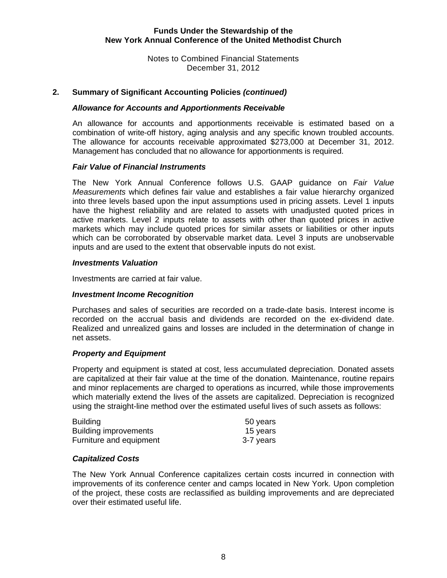Notes to Combined Financial Statements December 31, 2012

#### **2. Summary of Significant Accounting Policies** *(continued)*

#### *Allowance for Accounts and Apportionments Receivable*

An allowance for accounts and apportionments receivable is estimated based on a combination of write-off history, aging analysis and any specific known troubled accounts. The allowance for accounts receivable approximated \$273,000 at December 31, 2012. Management has concluded that no allowance for apportionments is required.

#### *Fair Value of Financial Instruments*

 The New York Annual Conference follows U.S. GAAP guidance on *Fair Value Measurements* which defines fair value and establishes a fair value hierarchy organized into three levels based upon the input assumptions used in pricing assets. Level 1 inputs have the highest reliability and are related to assets with unadjusted quoted prices in active markets. Level 2 inputs relate to assets with other than quoted prices in active markets which may include quoted prices for similar assets or liabilities or other inputs which can be corroborated by observable market data. Level 3 inputs are unobservable inputs and are used to the extent that observable inputs do not exist.

#### *Investments Valuation*

Investments are carried at fair value.

#### *Investment Income Recognition*

Purchases and sales of securities are recorded on a trade-date basis. Interest income is recorded on the accrual basis and dividends are recorded on the ex-dividend date. Realized and unrealized gains and losses are included in the determination of change in net assets.

#### *Property and Equipment*

Property and equipment is stated at cost, less accumulated depreciation. Donated assets are capitalized at their fair value at the time of the donation. Maintenance, routine repairs and minor replacements are charged to operations as incurred, while those improvements which materially extend the lives of the assets are capitalized. Depreciation is recognized using the straight-line method over the estimated useful lives of such assets as follows:

| <b>Building</b>              | 50 years  |
|------------------------------|-----------|
| <b>Building improvements</b> | 15 years  |
| Furniture and equipment      | 3-7 years |

#### *Capitalized Costs*

The New York Annual Conference capitalizes certain costs incurred in connection with improvements of its conference center and camps located in New York. Upon completion of the project, these costs are reclassified as building improvements and are depreciated over their estimated useful life.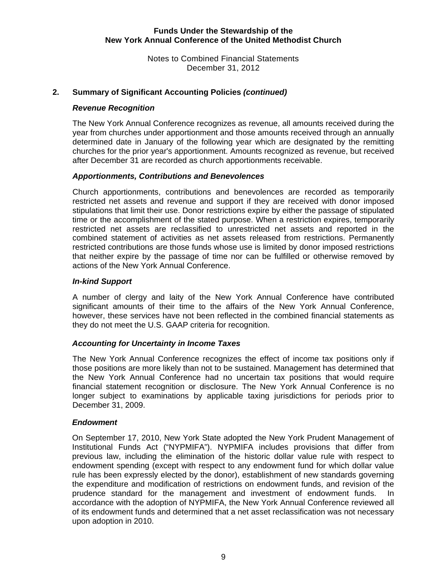Notes to Combined Financial Statements December 31, 2012

### **2. Summary of Significant Accounting Policies** *(continued)*

#### *Revenue Recognition*

The New York Annual Conference recognizes as revenue, all amounts received during the year from churches under apportionment and those amounts received through an annually determined date in January of the following year which are designated by the remitting churches for the prior year's apportionment. Amounts recognized as revenue, but received after December 31 are recorded as church apportionments receivable.

#### *Apportionments, Contributions and Benevolences*

Church apportionments, contributions and benevolences are recorded as temporarily restricted net assets and revenue and support if they are received with donor imposed stipulations that limit their use. Donor restrictions expire by either the passage of stipulated time or the accomplishment of the stated purpose. When a restriction expires, temporarily restricted net assets are reclassified to unrestricted net assets and reported in the combined statement of activities as net assets released from restrictions. Permanently restricted contributions are those funds whose use is limited by donor imposed restrictions that neither expire by the passage of time nor can be fulfilled or otherwise removed by actions of the New York Annual Conference.

#### *In-kind Support*

A number of clergy and laity of the New York Annual Conference have contributed significant amounts of their time to the affairs of the New York Annual Conference, however, these services have not been reflected in the combined financial statements as they do not meet the U.S. GAAP criteria for recognition.

#### *Accounting for Uncertainty in Income Taxes*

The New York Annual Conference recognizes the effect of income tax positions only if those positions are more likely than not to be sustained. Management has determined that the New York Annual Conference had no uncertain tax positions that would require financial statement recognition or disclosure. The New York Annual Conference is no longer subject to examinations by applicable taxing jurisdictions for periods prior to December 31, 2009.

#### *Endowment*

On September 17, 2010, New York State adopted the New York Prudent Management of Institutional Funds Act ("NYPMIFA"). NYPMIFA includes provisions that differ from previous law, including the elimination of the historic dollar value rule with respect to endowment spending (except with respect to any endowment fund for which dollar value rule has been expressly elected by the donor), establishment of new standards governing the expenditure and modification of restrictions on endowment funds, and revision of the prudence standard for the management and investment of endowment funds. In accordance with the adoption of NYPMIFA, the New York Annual Conference reviewed all of its endowment funds and determined that a net asset reclassification was not necessary upon adoption in 2010.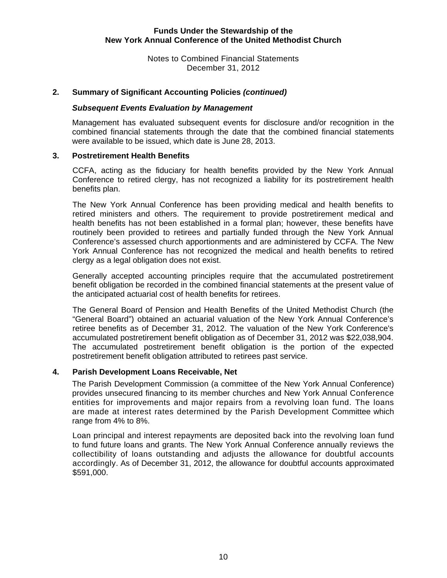Notes to Combined Financial Statements December 31, 2012

### **2. Summary of Significant Accounting Policies** *(continued)*

#### *Subsequent Events Evaluation by Management*

Management has evaluated subsequent events for disclosure and/or recognition in the combined financial statements through the date that the combined financial statements were available to be issued, which date is June 28, 2013.

#### **3. Postretirement Health Benefits**

CCFA, acting as the fiduciary for health benefits provided by the New York Annual Conference to retired clergy, has not recognized a liability for its postretirement health benefits plan.

The New York Annual Conference has been providing medical and health benefits to retired ministers and others. The requirement to provide postretirement medical and health benefits has not been established in a formal plan; however, these benefits have routinely been provided to retirees and partially funded through the New York Annual Conference's assessed church apportionments and are administered by CCFA. The New York Annual Conference has not recognized the medical and health benefits to retired clergy as a legal obligation does not exist.

Generally accepted accounting principles require that the accumulated postretirement benefit obligation be recorded in the combined financial statements at the present value of the anticipated actuarial cost of health benefits for retirees.

The General Board of Pension and Health Benefits of the United Methodist Church (the "General Board") obtained an actuarial valuation of the New York Annual Conference's retiree benefits as of December 31, 2012. The valuation of the New York Conference's accumulated postretirement benefit obligation as of December 31, 2012 was \$22,038,904. The accumulated postretirement benefit obligation is the portion of the expected postretirement benefit obligation attributed to retirees past service.

### **4. Parish Development Loans Receivable, Net**

The Parish Development Commission (a committee of the New York Annual Conference) provides unsecured financing to its member churches and New York Annual Conference entities for improvements and major repairs from a revolving loan fund. The loans are made at interest rates determined by the Parish Development Committee which range from 4% to 8%.

Loan principal and interest repayments are deposited back into the revolving loan fund to fund future loans and grants. The New York Annual Conference annually reviews the collectibility of loans outstanding and adjusts the allowance for doubtful accounts accordingly. As of December 31, 2012, the allowance for doubtful accounts approximated \$591,000.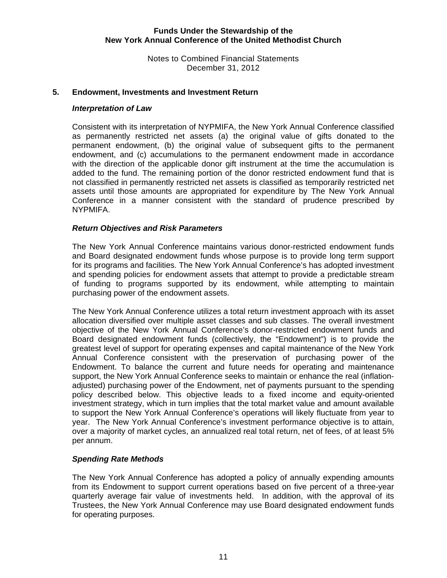Notes to Combined Financial Statements December 31, 2012

#### **5. Endowment, Investments and Investment Return**

#### *Interpretation of Law*

Consistent with its interpretation of NYPMIFA, the New York Annual Conference classified as permanently restricted net assets (a) the original value of gifts donated to the permanent endowment, (b) the original value of subsequent gifts to the permanent endowment, and (c) accumulations to the permanent endowment made in accordance with the direction of the applicable donor gift instrument at the time the accumulation is added to the fund. The remaining portion of the donor restricted endowment fund that is not classified in permanently restricted net assets is classified as temporarily restricted net assets until those amounts are appropriated for expenditure by The New York Annual Conference in a manner consistent with the standard of prudence prescribed by NYPMIFA.

#### *Return Objectives and Risk Parameters*

The New York Annual Conference maintains various donor-restricted endowment funds and Board designated endowment funds whose purpose is to provide long term support for its programs and facilities. The New York Annual Conference's has adopted investment and spending policies for endowment assets that attempt to provide a predictable stream of funding to programs supported by its endowment, while attempting to maintain purchasing power of the endowment assets.

The New York Annual Conference utilizes a total return investment approach with its asset allocation diversified over multiple asset classes and sub classes. The overall investment objective of the New York Annual Conference's donor-restricted endowment funds and Board designated endowment funds (collectively, the "Endowment") is to provide the greatest level of support for operating expenses and capital maintenance of the New York Annual Conference consistent with the preservation of purchasing power of the Endowment. To balance the current and future needs for operating and maintenance support, the New York Annual Conference seeks to maintain or enhance the real (inflationadjusted) purchasing power of the Endowment, net of payments pursuant to the spending policy described below. This objective leads to a fixed income and equity-oriented investment strategy, which in turn implies that the total market value and amount available to support the New York Annual Conference's operations will likely fluctuate from year to year. The New York Annual Conference's investment performance objective is to attain, over a majority of market cycles, an annualized real total return, net of fees, of at least 5% per annum.

### *Spending Rate Methods*

The New York Annual Conference has adopted a policy of annually expending amounts from its Endowment to support current operations based on five percent of a three-year quarterly average fair value of investments held. In addition, with the approval of its Trustees, the New York Annual Conference may use Board designated endowment funds for operating purposes.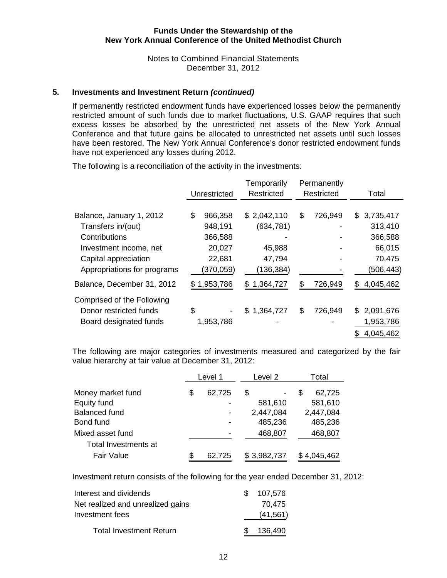Notes to Combined Financial Statements December 31, 2012

#### **5. Investments and Investment Return** *(continued)*

If permanently restricted endowment funds have experienced losses below the permanently restricted amount of such funds due to market fluctuations, U.S. GAAP requires that such excess losses be absorbed by the unrestricted net assets of the New York Annual Conference and that future gains be allocated to unrestricted net assets until such losses have been restored. The New York Annual Conference's donor restricted endowment funds have not experienced any losses during 2012.

The following is a reconciliation of the activity in the investments:

|                             | Unrestricted  | Temporarily<br>Restricted | Permanently<br>Restricted |     | Total     |
|-----------------------------|---------------|---------------------------|---------------------------|-----|-----------|
|                             |               |                           |                           |     |           |
| Balance, January 1, 2012    | \$<br>966,358 | \$2,042,110               | \$<br>726,949             | \$. | 3,735,417 |
| Transfers in/(out)          | 948,191       | (634, 781)                |                           |     | 313,410   |
| Contributions               | 366,588       |                           |                           |     | 366,588   |
| Investment income, net      | 20,027        | 45,988                    |                           |     | 66,015    |
| Capital appreciation        | 22,681        | 47,794                    |                           |     | 70,475    |
| Appropriations for programs | (370, 059)    | (136, 384)                |                           |     | (506,443) |
| Balance, December 31, 2012  | \$1,953,786   | 1,364,727<br>\$           | \$<br>726,949             | \$  | 4,045,462 |
| Comprised of the Following  |               |                           |                           |     |           |
| Donor restricted funds      | \$            | \$1,364,727               | \$<br>726,949             | \$. | 2,091,676 |
| Board designated funds      | 1,953,786     |                           |                           |     | 1,953,786 |
|                             |               |                           |                           |     | 4,045,462 |

The following are major categories of investments measured and categorized by the fair value hierarchy at fair value at December 31, 2012:

|                      |    | Level 1 | Level 2     | Total       |
|----------------------|----|---------|-------------|-------------|
| Money market fund    | \$ | 62,725  | S           | 62,725<br>S |
| Equity fund          |    |         | 581,610     | 581,610     |
| <b>Balanced fund</b> |    |         | 2,447,084   | 2,447,084   |
| Bond fund            |    |         | 485,236     | 485,236     |
| Mixed asset fund     |    |         | 468,807     | 468,807     |
| Total Investments at |    |         |             |             |
| <b>Fair Value</b>    | S. | 62,725  | \$3,982,737 | 4,045,462   |

Investment return consists of the following for the year ended December 31, 2012:

| Interest and dividends            | 107,576   |
|-----------------------------------|-----------|
| Net realized and unrealized gains | 70.475    |
| Investment fees                   | (41, 561) |
| <b>Total Investment Return</b>    | 136,490   |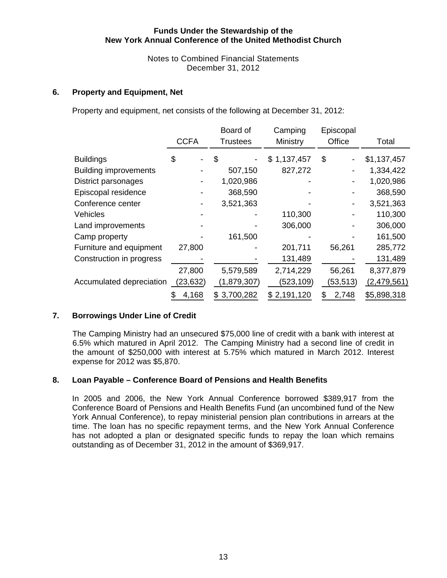Notes to Combined Financial Statements December 31, 2012

#### **6. Property and Equipment, Net**

Property and equipment, net consists of the following at December 31, 2012:

|                              | <b>CCFA</b> | Board of<br>Trustees | Camping<br>Ministry | Episcopal<br>Office | Total       |
|------------------------------|-------------|----------------------|---------------------|---------------------|-------------|
| <b>Buildings</b>             | \$          | \$                   | \$1,137,457         | \$                  | \$1,137,457 |
| <b>Building improvements</b> |             | 507,150              | 827,272             |                     | 1,334,422   |
| District parsonages          |             | 1,020,986            |                     |                     | 1,020,986   |
| Episcopal residence          |             | 368,590              |                     |                     | 368,590     |
| Conference center            |             | 3,521,363            |                     |                     | 3,521,363   |
| Vehicles                     |             |                      | 110,300             | $\blacksquare$      | 110,300     |
| Land improvements            |             |                      | 306,000             |                     | 306,000     |
| Camp property                |             | 161,500              |                     |                     | 161,500     |
| Furniture and equipment      | 27,800      |                      | 201,711             | 56,261              | 285,772     |
| Construction in progress     |             |                      | 131,489             |                     | 131,489     |
|                              | 27,800      | 5,579,589            | 2,714,229           | 56,261              | 8,377,879   |
| Accumulated depreciation     | (23, 632)   | (1,879,307)          | (523,109)           | (53, 513)           | (2,479,561) |
|                              | 4,168       | \$3,700,282          | \$2,191,120         | 2,748<br>S          | \$5,898,318 |

### **7. Borrowings Under Line of Credit**

The Camping Ministry had an unsecured \$75,000 line of credit with a bank with interest at 6.5% which matured in April 2012. The Camping Ministry had a second line of credit in the amount of \$250,000 with interest at 5.75% which matured in March 2012. Interest expense for 2012 was \$5,870.

#### **8. Loan Payable – Conference Board of Pensions and Health Benefits**

In 2005 and 2006, the New York Annual Conference borrowed \$389,917 from the Conference Board of Pensions and Health Benefits Fund (an uncombined fund of the New York Annual Conference), to repay ministerial pension plan contributions in arrears at the time. The loan has no specific repayment terms, and the New York Annual Conference has not adopted a plan or designated specific funds to repay the loan which remains outstanding as of December 31, 2012 in the amount of \$369,917.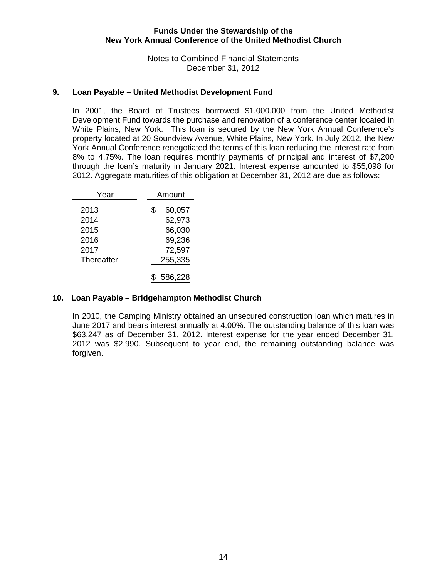Notes to Combined Financial Statements December 31, 2012

#### **9. Loan Payable – United Methodist Development Fund**

In 2001, the Board of Trustees borrowed \$1,000,000 from the United Methodist Development Fund towards the purchase and renovation of a conference center located in White Plains, New York. This loan is secured by the New York Annual Conference's property located at 20 Soundview Avenue, White Plains, New York. In July 2012, the New York Annual Conference renegotiated the terms of this loan reducing the interest rate from 8% to 4.75%. The loan requires monthly payments of principal and interest of \$7,200 through the loan's maturity in January 2021. Interest expense amounted to \$55,098 for 2012. Aggregate maturities of this obligation at December 31, 2012 are due as follows:

| Year                                               | Amount                                               |
|----------------------------------------------------|------------------------------------------------------|
| 2013<br>2014<br>2015<br>2016<br>2017<br>Thereafter | \$<br>60,057<br>62,973<br>66,030<br>69,236<br>72,597 |
|                                                    | 255,335                                              |
|                                                    | 586,228                                              |

#### **10. Loan Payable – Bridgehampton Methodist Church**

In 2010, the Camping Ministry obtained an unsecured construction loan which matures in June 2017 and bears interest annually at 4.00%. The outstanding balance of this loan was \$63,247 as of December 31, 2012. Interest expense for the year ended December 31, 2012 was \$2,990. Subsequent to year end, the remaining outstanding balance was forgiven.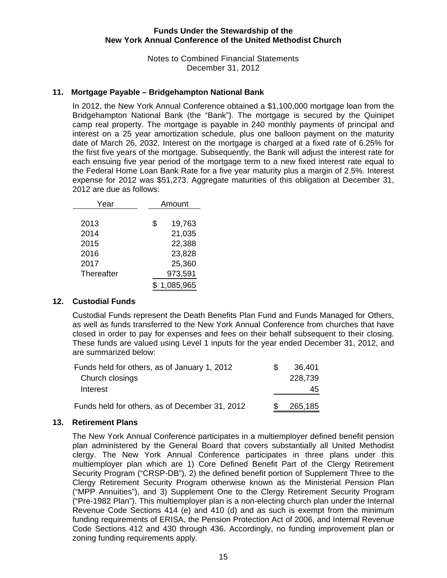Notes to Combined Financial Statements December 31, 2012

# **11. Mortgage Payable – Bridgehampton National Bank**

 In 2012, the New York Annual Conference obtained a \$1,100,000 mortgage loan from the Bridgehampton National Bank (the "Bank"). The mortgage is secured by the Quinipet camp real property. The mortgage is payable in 240 monthly payments of principal and interest on a 25 year amortization schedule, plus one balloon payment on the maturity date of March 26, 2032. Interest on the mortgage is charged at a fixed rate of 6.25% for the first five years of the mortgage. Subsequently, the Bank will adjust the interest rate for each ensuing five year period of the mortgage term to a new fixed interest rate equal to the Federal Home Loan Bank Rate for a five year maturity plus a margin of 2.5%. Interest expense for 2012 was \$51,273. Aggregate maturities of this obligation at December 31, 2012 are due as follows:

| Year       | Amount       |  |
|------------|--------------|--|
|            |              |  |
| 2013       | \$<br>19,763 |  |
| 2014       | 21,035       |  |
| 2015       | 22,388       |  |
| 2016       | 23,828       |  |
| 2017       | 25,360       |  |
| Thereafter | 973,591      |  |
|            | 1,085,965    |  |

#### **12. Custodial Funds**

Custodial Funds represent the Death Benefits Plan Fund and Funds Managed for Others, as well as funds transferred to the New York Annual Conference from churches that have closed in order to pay for expenses and fees on their behalf subsequent to their closing. These funds are valued using Level 1 inputs for the year ended December 31, 2012, and are summarized below:

| Funds held for others, as of January 1, 2012   | 36,401  |
|------------------------------------------------|---------|
| Church closings                                | 228,739 |
| Interest                                       | 45      |
| Funds held for others, as of December 31, 2012 | 265,185 |

#### **13. Retirement Plans**

The New York Annual Conference participates in a multiemployer defined benefit pension plan administered by the General Board that covers substantially all United Methodist clergy. The New York Annual Conference participates in three plans under this multiemployer plan which are 1) Core Defined Benefit Part of the Clergy Retirement Security Program ("CRSP-DB"), 2) the defined benefit portion of Supplement Three to the Clergy Retirement Security Program otherwise known as the Ministerial Pension Plan ("MPP Annuities"), and 3) Supplement One to the Clergy Retirement Security Program ("Pre-1982 Plan"). This multiemployer plan is a non-electing church plan under the Internal Revenue Code Sections 414 (e) and 410 (d) and as such is exempt from the minimum funding requirements of ERISA, the Pension Protection Act of 2006, and Internal Revenue Code Sections 412 and 430 through 436. Accordingly, no funding improvement plan or zoning funding requirements apply.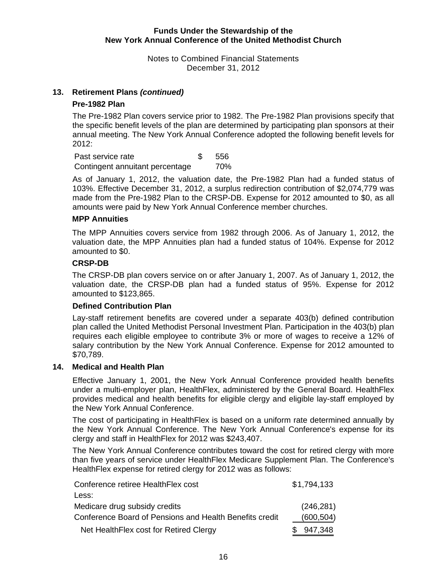Notes to Combined Financial Statements December 31, 2012

#### **13. Retirement Plans** *(continued)*

#### **Pre-1982 Plan**

The Pre-1982 Plan covers service prior to 1982. The Pre-1982 Plan provisions specify that the specific benefit levels of the plan are determined by participating plan sponsors at their annual meeting. The New York Annual Conference adopted the following benefit levels for 2012:

Past service rate 556 Contingent annuitant percentage 70%

As of January 1, 2012, the valuation date, the Pre-1982 Plan had a funded status of 103%. Effective December 31, 2012, a surplus redirection contribution of \$2,074,779 was made from the Pre-1982 Plan to the CRSP-DB. Expense for 2012 amounted to \$0, as all amounts were paid by New York Annual Conference member churches.

## **MPP Annuities**

The MPP Annuities covers service from 1982 through 2006. As of January 1, 2012, the valuation date, the MPP Annuities plan had a funded status of 104%. Expense for 2012 amounted to \$0.

#### **CRSP-DB**

The CRSP-DB plan covers service on or after January 1, 2007. As of January 1, 2012, the valuation date, the CRSP-DB plan had a funded status of 95%. Expense for 2012 amounted to \$123,865.

#### **Defined Contribution Plan**

Lay-staff retirement benefits are covered under a separate 403(b) defined contribution plan called the United Methodist Personal Investment Plan. Participation in the 403(b) plan requires each eligible employee to contribute 3% or more of wages to receive a 12% of salary contribution by the New York Annual Conference. Expense for 2012 amounted to \$70,789.

#### **14. Medical and Health Plan**

Effective January 1, 2001, the New York Annual Conference provided health benefits under a multi-employer plan, HealthFlex, administered by the General Board. HealthFlex provides medical and health benefits for eligible clergy and eligible lay-staff employed by the New York Annual Conference.

The cost of participating in HealthFlex is based on a uniform rate determined annually by the New York Annual Conference. The New York Annual Conference's expense for its clergy and staff in HealthFlex for 2012 was \$243,407.

The New York Annual Conference contributes toward the cost for retired clergy with more than five years of service under HealthFlex Medicare Supplement Plan. The Conference's HealthFlex expense for retired clergy for 2012 was as follows:

| Conference retiree HealthFlex cost                      | \$1,794,133 |
|---------------------------------------------------------|-------------|
| Less:                                                   |             |
| Medicare drug subsidy credits                           | (246, 281)  |
| Conference Board of Pensions and Health Benefits credit | (600, 504)  |
| Net Health Flex cost for Retired Clergy                 | 947,348     |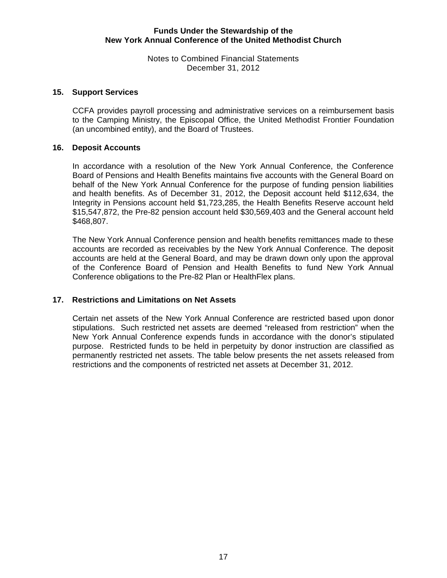Notes to Combined Financial Statements December 31, 2012

#### **15. Support Services**

CCFA provides payroll processing and administrative services on a reimbursement basis to the Camping Ministry, the Episcopal Office, the United Methodist Frontier Foundation (an uncombined entity), and the Board of Trustees.

#### **16. Deposit Accounts**

In accordance with a resolution of the New York Annual Conference, the Conference Board of Pensions and Health Benefits maintains five accounts with the General Board on behalf of the New York Annual Conference for the purpose of funding pension liabilities and health benefits. As of December 31, 2012, the Deposit account held \$112,634, the Integrity in Pensions account held \$1,723,285, the Health Benefits Reserve account held \$15,547,872, the Pre-82 pension account held \$30,569,403 and the General account held \$468,807.

The New York Annual Conference pension and health benefits remittances made to these accounts are recorded as receivables by the New York Annual Conference. The deposit accounts are held at the General Board, and may be drawn down only upon the approval of the Conference Board of Pension and Health Benefits to fund New York Annual Conference obligations to the Pre-82 Plan or HealthFlex plans.

#### **17. Restrictions and Limitations on Net Assets**

Certain net assets of the New York Annual Conference are restricted based upon donor stipulations. Such restricted net assets are deemed "released from restriction" when the New York Annual Conference expends funds in accordance with the donor's stipulated purpose. Restricted funds to be held in perpetuity by donor instruction are classified as permanently restricted net assets. The table below presents the net assets released from restrictions and the components of restricted net assets at December 31, 2012.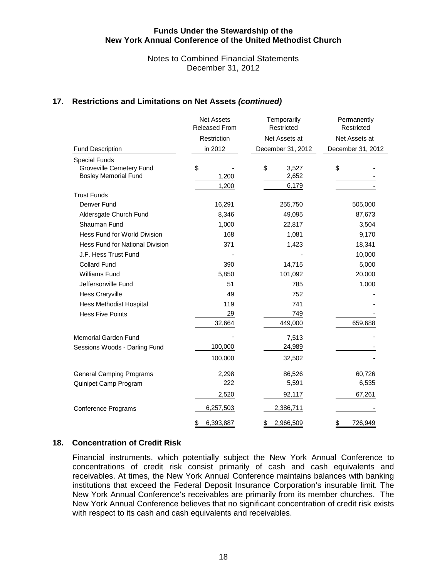Notes to Combined Financial Statements December 31, 2012

#### **17. Restrictions and Limitations on Net Assets** *(continued)*

|                                        | <b>Net Assets</b><br>Released From | Temporarily<br>Restricted | Permanently<br>Restricted |  |  |
|----------------------------------------|------------------------------------|---------------------------|---------------------------|--|--|
|                                        | Restriction                        | Net Assets at             | Net Assets at             |  |  |
| <b>Fund Description</b>                | in 2012                            | December 31, 2012         | December 31, 2012         |  |  |
| <b>Special Funds</b>                   |                                    |                           |                           |  |  |
| Groveville Cemetery Fund               | \$                                 | \$<br>3,527               | \$                        |  |  |
| <b>Bosley Memorial Fund</b>            | 1,200                              | 2,652                     |                           |  |  |
| <b>Trust Funds</b>                     | 1,200                              | 6,179                     |                           |  |  |
| Denver Fund                            | 16,291                             | 255,750                   | 505,000                   |  |  |
| Aldersgate Church Fund                 | 8,346                              | 49,095                    | 87,673                    |  |  |
| Shauman Fund                           | 1,000                              | 22,817                    | 3,504                     |  |  |
| Hess Fund for World Division           | 168                                | 1,081                     | 9,170                     |  |  |
| <b>Hess Fund for National Division</b> | 371                                | 1,423                     | 18,341                    |  |  |
| J.F. Hess Trust Fund                   |                                    |                           | 10,000                    |  |  |
| <b>Collard Fund</b>                    | 390                                | 14,715                    | 5,000                     |  |  |
| <b>Williams Fund</b>                   | 5,850                              | 101,092                   | 20,000                    |  |  |
| Jeffersonville Fund                    | 51                                 | 785                       | 1,000                     |  |  |
| <b>Hess Craryville</b>                 | 49                                 | 752                       |                           |  |  |
| <b>Hess Methodist Hospital</b>         | 119                                | 741                       |                           |  |  |
| <b>Hess Five Points</b>                | 29                                 | 749                       |                           |  |  |
|                                        | 32,664                             | 449,000                   | 659,688                   |  |  |
| <b>Memorial Garden Fund</b>            |                                    | 7,513                     |                           |  |  |
| Sessions Woods - Darling Fund          | 100,000                            | 24,989                    |                           |  |  |
|                                        | 100,000                            | 32,502                    |                           |  |  |
| <b>General Camping Programs</b>        | 2,298                              | 86,526                    | 60,726                    |  |  |
| Quinipet Camp Program                  | 222                                | 5,591                     | 6,535                     |  |  |
|                                        | 2,520                              | 92,117                    | 67,261                    |  |  |
| Conference Programs                    | 6,257,503                          | 2,386,711                 |                           |  |  |
|                                        | 6,393,887<br>\$                    | \$<br>2,966,509           | 726,949<br>\$             |  |  |

#### **18. Concentration of Credit Risk**

Financial instruments, which potentially subject the New York Annual Conference to concentrations of credit risk consist primarily of cash and cash equivalents and receivables. At times, the New York Annual Conference maintains balances with banking institutions that exceed the Federal Deposit Insurance Corporation's insurable limit. The New York Annual Conference's receivables are primarily from its member churches. The New York Annual Conference believes that no significant concentration of credit risk exists with respect to its cash and cash equivalents and receivables.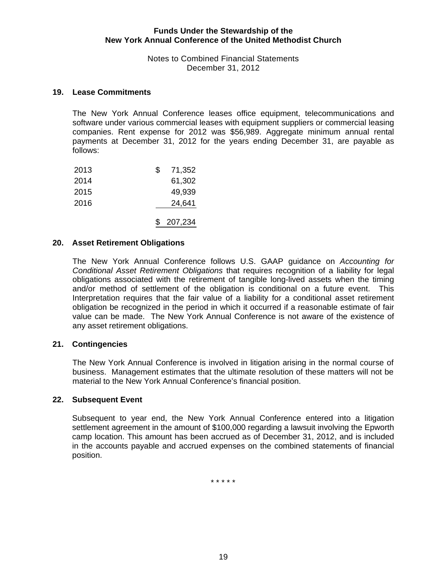Notes to Combined Financial Statements December 31, 2012

#### **19. Lease Commitments**

The New York Annual Conference leases office equipment, telecommunications and software under various commercial leases with equipment suppliers or commercial leasing companies. Rent expense for 2012 was \$56,989. Aggregate minimum annual rental payments at December 31, 2012 for the years ending December 31, are payable as follows:

| 2013 | \$<br>71,352 |
|------|--------------|
| 2014 | 61,302       |
| 2015 | 49,939       |
| 2016 | 24,641       |
|      | \$207,234    |

#### **20. Asset Retirement Obligations**

The New York Annual Conference follows U.S. GAAP guidance on *Accounting for Conditional Asset Retirement Obligations* that requires recognition of a liability for legal obligations associated with the retirement of tangible long-lived assets when the timing and/or method of settlement of the obligation is conditional on a future event. This Interpretation requires that the fair value of a liability for a conditional asset retirement obligation be recognized in the period in which it occurred if a reasonable estimate of fair value can be made. The New York Annual Conference is not aware of the existence of any asset retirement obligations.

#### **21. Contingencies**

The New York Annual Conference is involved in litigation arising in the normal course of business. Management estimates that the ultimate resolution of these matters will not be material to the New York Annual Conference's financial position.

#### **22. Subsequent Event**

Subsequent to year end, the New York Annual Conference entered into a litigation settlement agreement in the amount of \$100,000 regarding a lawsuit involving the Epworth camp location. This amount has been accrued as of December 31, 2012, and is included in the accounts payable and accrued expenses on the combined statements of financial position.

\* \* \* \* \*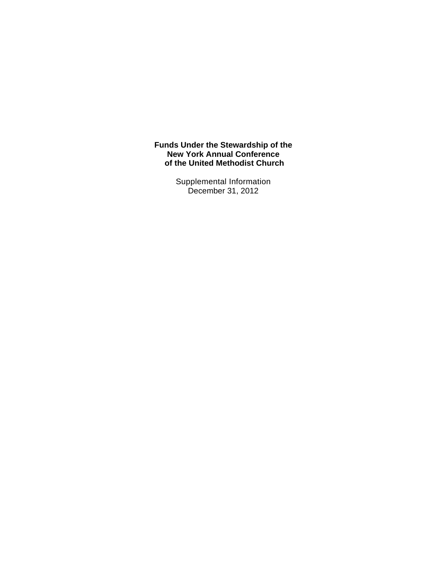> Supplemental Information December 31, 2012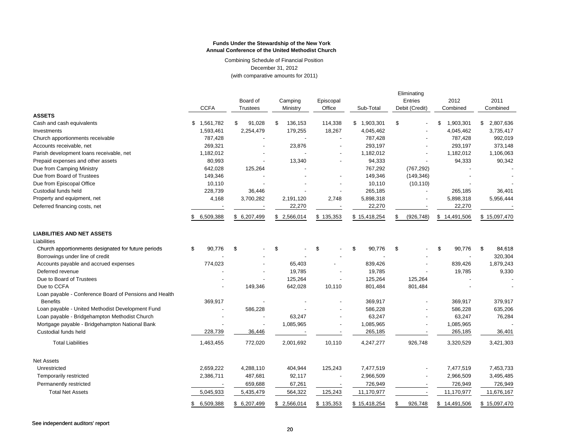Combining Schedule of Financial Position December 31, 2012 (with comparative amounts for 2011)

|                                                        | <b>CCFA</b>     | Board of<br><b>Trustees</b> | Camping<br>Ministry | Episcopal<br>Office      | Sub-Total    | Eliminating<br>Entries<br>Debit (Credit) | 2012<br>Combined | 2011<br>Combined |
|--------------------------------------------------------|-----------------|-----------------------------|---------------------|--------------------------|--------------|------------------------------------------|------------------|------------------|
| <b>ASSETS</b>                                          |                 |                             |                     |                          |              |                                          |                  |                  |
| Cash and cash equivalents                              | \$1,561,782     | \$<br>91,028                | \$<br>136,153       | 114,338                  | \$1,903,301  | \$                                       | 1,903,301<br>\$  | \$<br>2,807,636  |
| Investments                                            | 1,593,461       | 2,254,479                   | 179,255             | 18,267                   | 4,045,462    |                                          | 4,045,462        | 3,735,417        |
| Church apportionments receivable                       | 787,428         |                             |                     | $\overline{a}$           | 787,428      |                                          | 787,428          | 992,019          |
| Accounts receivable, net                               | 269,321         |                             | 23,876              |                          | 293,197      |                                          | 293,197          | 373,148          |
| Parish development loans receivable, net               | 1,182,012       |                             |                     |                          | 1,182,012    |                                          | 1,182,012        | 1,106,063        |
| Prepaid expenses and other assets                      | 80,993          |                             | 13,340              |                          | 94,333       |                                          | 94,333           | 90,342           |
| Due from Camping Ministry                              | 642,028         | 125,264                     |                     |                          | 767,292      | (767, 292)                               |                  |                  |
| Due from Board of Trustees                             | 149,346         |                             |                     |                          | 149,346      | (149, 346)                               |                  |                  |
| Due from Episcopal Office                              | 10,110          |                             |                     |                          | 10,110       | (10, 110)                                |                  |                  |
| Custodial funds held                                   | 228,739         | 36,446                      |                     |                          | 265,185      |                                          | 265,185          | 36,401           |
| Property and equipment, net                            | 4,168           | 3,700,282                   | 2,191,120           | 2,748                    | 5,898,318    |                                          | 5,898,318        | 5,956,444        |
| Deferred financing costs, net                          |                 |                             | 22,270              |                          | 22,270       |                                          | 22,270           |                  |
|                                                        | 6,509,388<br>S. | \$6,207,499                 | \$2,566,014         | \$135,353                | \$15,418,254 | (926, 748)                               | \$14,491,506     | \$15,097,470     |
| <b>LIABILITIES AND NET ASSETS</b>                      |                 |                             |                     |                          |              |                                          |                  |                  |
| Liabilities                                            |                 |                             |                     |                          |              |                                          |                  |                  |
| Church apportionments designated for future periods    | 90,776<br>\$    | \$                          | \$                  | \$                       | \$<br>90,776 | \$                                       | 90,776<br>\$     | \$<br>84,618     |
| Borrowings under line of credit                        |                 |                             |                     |                          |              |                                          |                  | 320,304          |
| Accounts payable and accrued expenses                  | 774,023         |                             | 65,403              |                          | 839,426      |                                          | 839,426          | 1,879,243        |
| Deferred revenue                                       |                 |                             | 19,785              |                          | 19,785       |                                          | 19,785           | 9,330            |
| Due to Board of Trustees                               |                 |                             | 125,264             |                          | 125,264      | 125,264                                  |                  |                  |
| Due to CCFA                                            |                 | 149,346                     | 642,028             | 10,110                   | 801,484      | 801,484                                  |                  |                  |
| Loan payable - Conference Board of Pensions and Health |                 |                             |                     |                          |              |                                          |                  |                  |
| <b>Benefits</b>                                        | 369,917         |                             |                     |                          | 369,917      |                                          | 369,917          | 379,917          |
| Loan payable - United Methodist Development Fund       | $\overline{a}$  | 586,228                     |                     |                          | 586,228      |                                          | 586,228          | 635,206          |
| Loan payable - Bridgehampton Methodist Church          |                 |                             | 63,247              |                          | 63,247       |                                          | 63,247           | 76,284           |
| Mortgage payable - Bridgehampton National Bank         |                 |                             | 1,085,965           |                          | 1,085,965    |                                          | 1,085,965        |                  |
| Custodial funds held                                   | 228,739         | 36,446                      | <b>.</b>            |                          | 265,185      |                                          | 265,185          | 36,401           |
| <b>Total Liabilities</b>                               | 1,463,455       | 772,020                     | 2,001,692           | 10,110                   | 4,247,277    | 926,748                                  | 3,320,529        | 3,421,303        |
| <b>Net Assets</b>                                      |                 |                             |                     |                          |              |                                          |                  |                  |
| Unrestricted                                           | 2,659,222       | 4,288,110                   | 404,944             | 125,243                  | 7,477,519    |                                          | 7,477,519        | 7,453,733        |
| Temporarily restricted                                 | 2,386,711       | 487,681                     | 92,117              | $\overline{\phantom{a}}$ | 2,966,509    |                                          | 2,966,509        | 3,495,485        |
| Permanently restricted                                 |                 | 659,688                     | 67,261              |                          | 726,949      |                                          | 726,949          | 726,949          |
| <b>Total Net Assets</b>                                | 5,045,933       | 5,435,479                   | 564,322             | 125,243                  | 11,170,977   |                                          | 11,170,977       | 11,676,167       |
|                                                        |                 |                             |                     |                          |              |                                          |                  |                  |
|                                                        | 6,509,388<br>\$ | \$6,207,499                 | \$2,566,014         | \$135,353                | \$15,418,254 | 926,748<br>\$                            | \$14,491,506     | \$15,097,470     |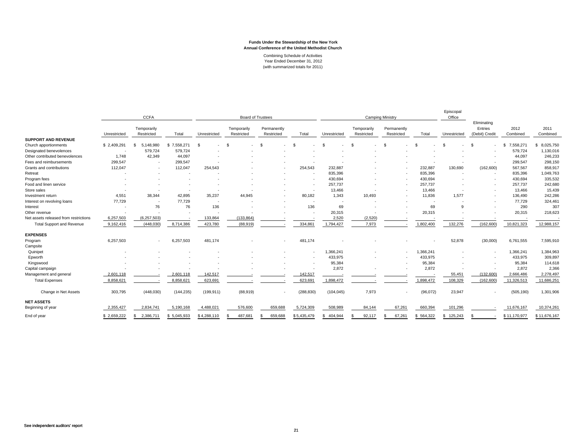Combining Schedule of Activities Year Ended December 31, 2012 (with summarized totals for 2011)

|                                       | <b>CCFA</b>  |                           |             | <b>Board of Trustees</b> |                           |                           | <b>Camping Ministry</b>  |               |                           |                           | Episcopal<br>Office |                |                                          |                  |                  |
|---------------------------------------|--------------|---------------------------|-------------|--------------------------|---------------------------|---------------------------|--------------------------|---------------|---------------------------|---------------------------|---------------------|----------------|------------------------------------------|------------------|------------------|
|                                       | Unrestricted | Temporarily<br>Restricted | Total       | Unrestricted             | Temporarily<br>Restricted | Permanently<br>Restricted | Total                    | Unrestricted  | Temporarily<br>Restricted | Permanently<br>Restricted | Total               | Unrestricted   | Eliminating<br>Entries<br>(Debit) Credit | 2012<br>Combined | 2011<br>Combined |
| <b>SUPPORT AND REVENUE</b>            |              |                           |             |                          |                           |                           |                          |               |                           |                           |                     |                |                                          |                  |                  |
| Church apportionments                 | \$2.409.291  | 5,148,980<br>-\$          | \$7,558,271 | £.                       |                           | $\mathcal{F}$             | £.                       |               | -96                       | -96                       |                     |                | £.                                       | 7,558,271<br>S.  | 8,025,750<br>\$. |
| Designated benevolences               |              | 579,724                   | 579,724     |                          |                           |                           |                          |               |                           |                           |                     |                |                                          | 579,724          | 1,130,016        |
| Other contributed benevolences        | 1,748        | 42,349                    | 44,097      |                          |                           |                           |                          |               |                           |                           |                     |                |                                          | 44,097           | 246,233          |
| Fees and reimbursements               | 299,547      |                           | 299,547     |                          |                           |                           |                          |               |                           |                           |                     |                |                                          | 299,547          | 298,150          |
| Grants and contributions              | 112,047      |                           | 112,047     | 254,543                  |                           |                           | 254,543                  | 232,887       |                           |                           | 232,887             | 130,690        | (162, 600)                               | 567,567          | 858,917          |
| Retreat                               |              |                           |             |                          |                           |                           | ٠.                       | 835,396       |                           |                           | 835,396             |                | $\overline{\phantom{a}}$                 | 835,396          | 1,049,763        |
| Program fees                          |              |                           |             |                          |                           |                           |                          | 430,694       |                           |                           | 430,694             |                |                                          | 430,694          | 335,532          |
| Food and linen service                |              |                           |             |                          |                           |                           | ٠.                       | 257.737       |                           |                           | 257,737             |                | ٠                                        | 257,737          | 242,680          |
| Store sales                           |              |                           |             |                          |                           |                           | ٠.                       | 13,466        |                           |                           | 13,466              |                |                                          | 13,466           | 15,439           |
| Investment return                     | 4,551        | 38,344                    | 42,895      | 35,237                   | 44.945                    |                           | 80,182                   | 1,343         | 10,493                    |                           | 11,836              | 1,577          |                                          | 136,490          | 242,286          |
| Interest on revolving loans           | 77,729       |                           | 77.729      | ٠.                       |                           |                           | $\overline{\phantom{a}}$ |               |                           |                           |                     |                |                                          | 77,729           | 324,461          |
| Interest                              |              | 76                        | 76          | 136                      |                           |                           | 136                      | 69            |                           |                           | 69                  |                |                                          | 290              | 307              |
| Other revenue                         |              | ٠.                        |             | ٠.                       |                           |                           | $\overline{\phantom{a}}$ | 20,315        |                           |                           | 20,315              |                |                                          | 20,315           | 218,623          |
| Net assets released from restrictions | 6.257.503    | (6, 257, 503)             |             | 133.864                  | (133, 864)                |                           |                          | 2.520         | (2,520)                   |                           |                     |                |                                          |                  |                  |
| <b>Total Support and Revenue</b>      | 9,162,416    | (448,030)                 | 8,714,386   | 423,780                  | (88,919)                  |                           | 334,861                  | 1,794,427     | 7,973                     |                           | 1,802,400           | 132,276        | (162, 600)                               | 10,821,323       | 12,988,157       |
| <b>EXPENSES</b>                       |              |                           |             |                          |                           |                           |                          |               |                           |                           |                     |                |                                          |                  |                  |
| Program                               | 6,257,503    | . .                       | 6,257,503   | 481,174                  |                           |                           | 481,174                  |               |                           |                           |                     | 52,878         | (30,000)                                 | 6,761,555        | 7,595,910        |
| Campsite                              |              |                           |             |                          |                           |                           |                          |               |                           |                           |                     |                |                                          |                  |                  |
| Quinipet                              |              |                           |             |                          |                           |                           | $\overline{\phantom{a}}$ | 1,366,241     |                           | ٠                         | 1,366,241           |                | ٠                                        | 1,366,241        | 1,384,963        |
| Epworth                               |              |                           |             |                          |                           |                           |                          | 433,975       |                           |                           | 433,975             |                |                                          | 433,975          | 309,897          |
| Kingswood                             |              |                           |             |                          |                           |                           |                          | 95,384        |                           |                           | 95,384              |                |                                          | 95,384           | 114,618          |
| Capital campaign                      |              |                           |             |                          |                           |                           |                          | 2,872         |                           |                           | 2,872               |                |                                          | 2,872            | 2,366            |
| Management and general                | 2,601,118    |                           | 2,601,118   | 142,517                  |                           |                           | 142,517                  |               |                           |                           |                     | 55,451         | (132,600)                                | 2,666,486        | 2,278,497        |
| <b>Total Expenses</b>                 | 8,858,621    |                           | 8,858,621   | 623,691                  |                           |                           | 623,691                  | 1,898,472     |                           |                           | 1,898,472           | 108,329        | (162, 600)                               | 11,326,513       | 11,686,251       |
| Change in Net Assets                  | 303,795      | (448, 030)                | (144, 235)  | (199, 911)               | (88,919)                  |                           | (288, 830)               | (104, 045)    | 7,973                     |                           | (96,072)            | 23,947         |                                          | (505, 190)       | 1,301,906        |
| <b>NET ASSETS</b>                     |              |                           |             |                          |                           |                           |                          |               |                           |                           |                     |                |                                          |                  |                  |
| Beginning of year                     | 2,355,427    | 2,834,741                 | 5,190,168   | 4,488,021                | 576,600                   | 659,688                   | 5,724,309                | 508,989       | 84,144                    | 67,261                    | 660,394             | 101,296        |                                          | 11,676,167       | 10,374,261       |
| End of year                           | \$2,659,222  | 2,386,711<br>s            | \$5,045,933 | \$4,288,110              | 487,681                   | 659,688                   | \$5,435,479              | 404,944<br>£. | 92,117                    | 67,261                    | 564,322<br>S        | 125,243<br>-SS |                                          | \$11,170,977     | \$11,676,167     |